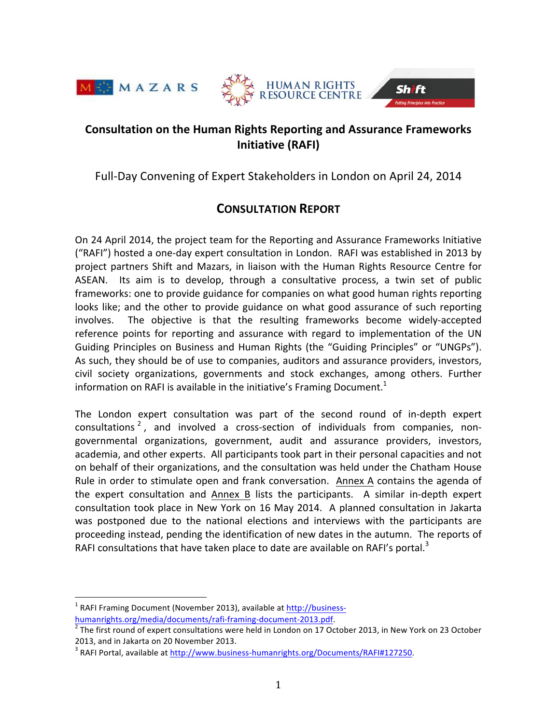





# **Consultation on the Human Rights Reporting and Assurance Frameworks Initiative (RAFI)**

Full-Day Convening of Expert Stakeholders in London on April 24, 2014

# **CONSULTATION REPORT**

On 24 April 2014, the project team for the Reporting and Assurance Frameworks Initiative ("RAFI") hosted a one-day expert consultation in London. RAFI was established in 2013 by project partners Shift and Mazars, in liaison with the Human Rights Resource Centre for ASEAN. Its aim is to develop, through a consultative process, a twin set of public frameworks: one to provide guidance for companies on what good human rights reporting looks like; and the other to provide guidance on what good assurance of such reporting involves. The objective is that the resulting frameworks become widely-accepted reference points for reporting and assurance with regard to implementation of the UN Guiding Principles on Business and Human Rights (the "Guiding Principles" or "UNGPs"). As such, they should be of use to companies, auditors and assurance providers, investors, civil society organizations, governments and stock exchanges, among others. Further information on RAFI is available in the initiative's Framing Document.<sup>1</sup>

The London expert consultation was part of the second round of in-depth expert consultations<sup>2</sup>, and involved a cross-section of individuals from companies, nongovernmental organizations, government, audit and assurance providers, investors, academia, and other experts. All participants took part in their personal capacities and not on behalf of their organizations, and the consultation was held under the Chatham House Rule in order to stimulate open and frank conversation. Annex A contains the agenda of the expert consultation and Annex B lists the participants. A similar in-depth expert consultation took place in New York on 16 May 2014. A planned consultation in Jakarta was postponed due to the national elections and interviews with the participants are proceeding instead, pending the identification of new dates in the autumn. The reports of RAFI consultations that have taken place to date are available on RAFI's portal.<sup>3</sup>

 $1$  RAFI Framing Document (November 2013), available at http://business-

humanrights.org/media/documents/rafi-framing-document-2013.pdf.<br>
<sup>2</sup> The first round of expert consultations were held in London on 17 October 2013, in New York on 23 October 2013, and in Jakarta on 20 November 2013.

<sup>&</sup>lt;sup>3</sup> RAFI Portal, available at http://www.business-humanrights.org/Documents/RAFI#127250.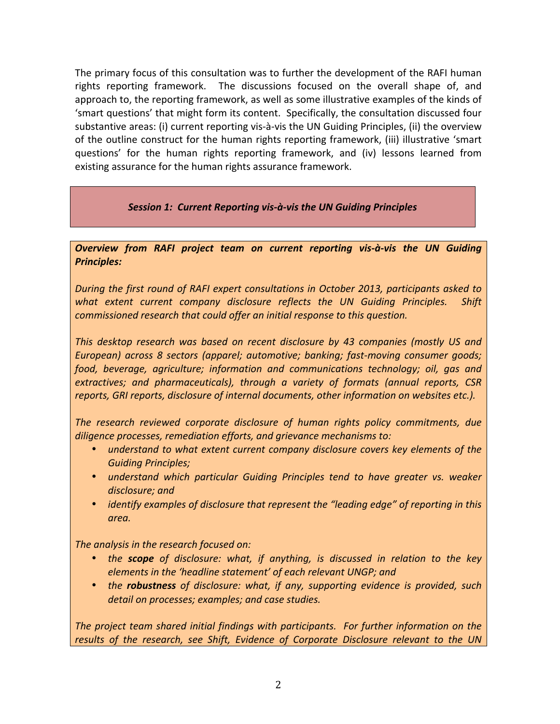The primary focus of this consultation was to further the development of the RAFI human rights reporting framework. The discussions focused on the overall shape of, and approach to, the reporting framework, as well as some illustrative examples of the kinds of 'smart questions' that might form its content. Specifically, the consultation discussed four substantive areas: (i) current reporting vis-à-vis the UN Guiding Principles, (ii) the overview of the outline construct for the human rights reporting framework, (iii) illustrative 'smart questions' for the human rights reporting framework, and (iv) lessons learned from existing assurance for the human rights assurance framework.

## Session 1: Current Reporting vis-à-vis the UN Guiding Principles

**Overview from RAFI project team on current reporting vis-à-vis the UN Guiding** *Principles:*

*During the first round of RAFI expert consultations in October 2013, participants asked to what* extent current company disclosure reflects the UN Guiding Principles. Shift *commissioned research that could offer an initial response to this question.* 

*This desktop research was based on recent disclosure by 43 companies (mostly US and European)* across 8 sectors (apparel; automotive; banking; fast-moving consumer goods; *food, beverage, agriculture; information and communications technology; oil, gas and extractives; and pharmaceuticals), through a variety of formats (annual reports, CSR reports, GRI reports, disclosure of internal documents, other information on websites etc.).* 

The research reviewed corporate disclosure of human rights policy commitments, due diligence processes, remediation efforts, and grievance mechanisms to:

- *understand to what extent current company disclosure covers key elements of the Guiding Principles;*
- *understand which particular Guiding Principles tend to have greater vs. weaker* disclosure; and
- *identify examples of disclosure that represent the "leading edge" of reporting in this area.*

The analysis in the research focused on:

- the **scope** of disclosure: what, if anything, is discussed in relation to the key *elements in the 'headline statement' of each relevant UNGP; and*
- the **robustness** of disclosure: what, if any, supporting evidence is provided, such detail on processes; examples; and case studies.

The project team shared initial findings with participants. For further information on the results of the research, see Shift, Evidence of Corporate Disclosure relevant to the UN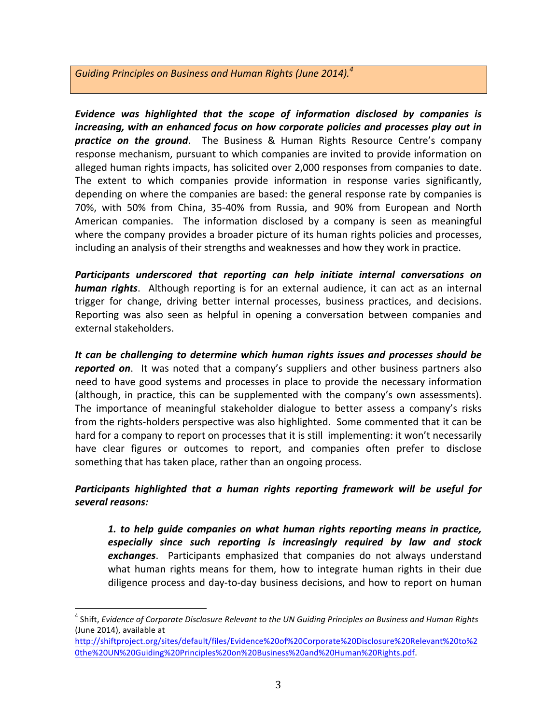# Guiding Principles on Business and Human Rights (June 2014).<sup>4</sup>

Evidence was highlighted that the scope of information disclosed by companies is *increasing, with an enhanced focus on how corporate policies and processes play out in* **practice on the ground**. The Business & Human Rights Resource Centre's company response mechanism, pursuant to which companies are invited to provide information on alleged human rights impacts, has solicited over 2,000 responses from companies to date. The extent to which companies provide information in response varies significantly, depending on where the companies are based: the general response rate by companies is 70%, with 50% from China, 35-40% from Russia, and 90% from European and North American companies. The information disclosed by a company is seen as meaningful where the company provides a broader picture of its human rights policies and processes, including an analysis of their strengths and weaknesses and how they work in practice.

*Participants underscored that reporting can help initiate internal conversations on*  **human rights**. Although reporting is for an external audience, it can act as an internal trigger for change, driving better internal processes, business practices, and decisions. Reporting was also seen as helpful in opening a conversation between companies and external stakeholders. 

It can be challenging to determine which human rights issues and processes should be *reported on*. It was noted that a company's suppliers and other business partners also need to have good systems and processes in place to provide the necessary information (although, in practice, this can be supplemented with the company's own assessments). The importance of meaningful stakeholder dialogue to better assess a company's risks from the rights-holders perspective was also highlighted. Some commented that it can be hard for a company to report on processes that it is still implementing: it won't necessarily have clear figures or outcomes to report, and companies often prefer to disclose something that has taken place, rather than an ongoing process.

# Participants highlighted that a human rights reporting framework will be useful for *several reasons:*

1. to help guide companies on what human rights reporting means in practice, especially since such reporting is increasingly required by law and stock **exchanges**. Participants emphasized that companies do not always understand what human rights means for them, how to integrate human rights in their due diligence process and day-to-day business decisions, and how to report on human

http://shiftproject.org/sites/default/files/Evidence%20of%20Corporate%20Disclosure%20Relevant%20to%2 0the%20UN%20Guiding%20Principles%20on%20Business%20and%20Human%20Rights.pdf. 

<sup>&</sup>lt;sup>4</sup> Shift, *Evidence of Corporate Disclosure Relevant to the UN Guiding Principles on Business and Human Rights* (June 2014), available at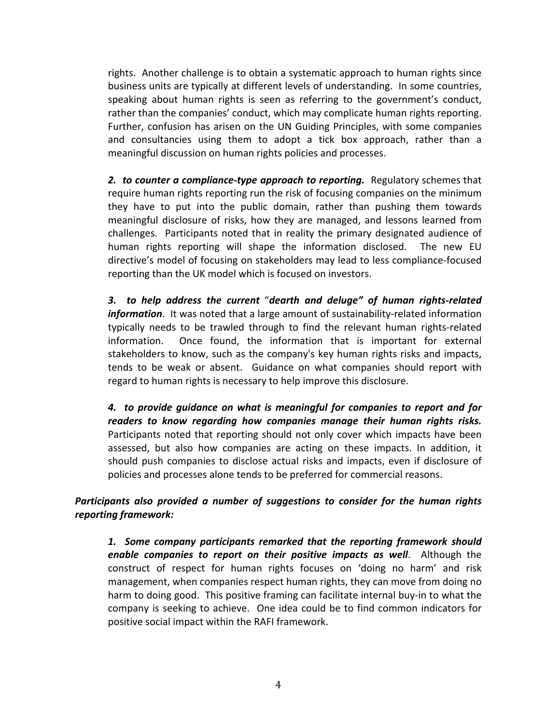rights. Another challenge is to obtain a systematic approach to human rights since business units are typically at different levels of understanding. In some countries, speaking about human rights is seen as referring to the government's conduct, rather than the companies' conduct, which may complicate human rights reporting. Further, confusion has arisen on the UN Guiding Principles, with some companies and consultancies using them to adopt a tick box approach, rather than a meaningful discussion on human rights policies and processes.

**2.** to counter a compliance-type approach to reporting. Regulatory schemes that require human rights reporting run the risk of focusing companies on the minimum they have to put into the public domain, rather than pushing them towards meaningful disclosure of risks, how they are managed, and lessons learned from challenges. Participants noted that in reality the primary designated audience of human rights reporting will shape the information disclosed. The new EU directive's model of focusing on stakeholders may lead to less compliance-focused reporting than the UK model which is focused on investors.

*3. to help address the current* "*dearth and deluge" of human rights-related information*. It was noted that a large amount of sustainability-related information typically needs to be trawled through to find the relevant human rights-related information. Once found, the information that is important for external stakeholders to know, such as the company's key human rights risks and impacts, tends to be weak or absent. Guidance on what companies should report with regard to human rights is necessary to help improve this disclosure.

4. to provide guidance on what is meaningful for companies to report and for readers to know regarding how companies manage their human rights risks. Participants noted that reporting should not only cover which impacts have been assessed, but also how companies are acting on these impacts. In addition, it should push companies to disclose actual risks and impacts, even if disclosure of policies and processes alone tends to be preferred for commercial reasons.

*Participants* also provided a number of suggestions to consider for the human rights *reporting framework:*

1. Some company participants remarked that the reporting framework should *enable companies to report on their positive impacts as well.* **Although the** construct of respect for human rights focuses on 'doing no harm' and risk management, when companies respect human rights, they can move from doing no harm to doing good. This positive framing can facilitate internal buy-in to what the company is seeking to achieve. One idea could be to find common indicators for positive social impact within the RAFI framework.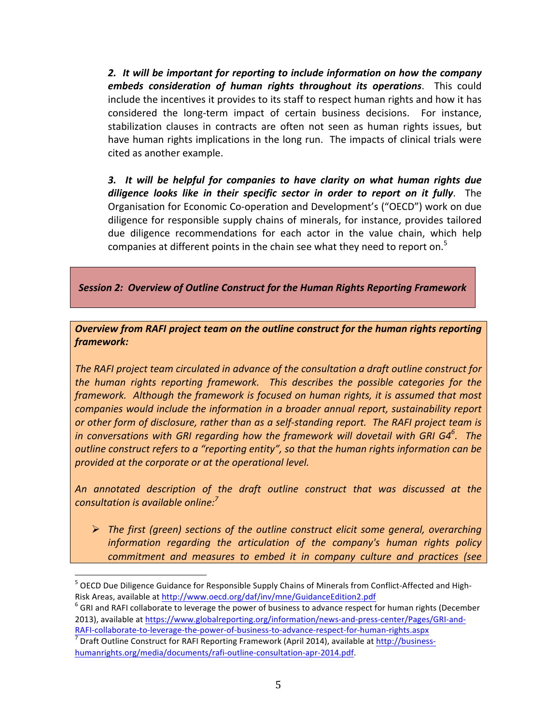2. It will be important for reporting to include information on how the company *embeds consideration of human rights throughout its operations.* **This could** include the incentives it provides to its staff to respect human rights and how it has considered the long-term impact of certain business decisions. For instance, stabilization clauses in contracts are often not seen as human rights issues, but have human rights implications in the long run. The impacts of clinical trials were cited as another example.

**3.** It will be helpful for companies to have clarity on what human rights due diligence looks like in their specific sector in order to report on it fully. The Organisation for Economic Co-operation and Development's ("OECD") work on due diligence for responsible supply chains of minerals, for instance, provides tailored due diligence recommendations for each actor in the value chain, which help companies at different points in the chain see what they need to report on.<sup>5</sup>

**Session 2: Overview of Outline Construct for the Human Rights Reporting Framework** 

**Overview from RAFI project team on the outline construct for the human rights reporting** *framework:*

The RAFI project team circulated in advance of the consultation a draft outline construct for *the human rights reporting framework. This describes the possible categories for the* framework. Although the framework is focused on human rights, it is assumed that most *companies* would include the information in a broader annual report, sustainability report *or* other form of disclosure, rather than as a self-standing report. The RAFI project team is *in conversations with GRI regarding how the framework will dovetail with GRI G4<sup>6</sup>. The outline construct refers to a "reporting entity", so that the human rights information can be* provided at the corporate or at the operational level.

An annotated description of the draft outline construct that was discussed at the *consultation is available online: 7*

**►** The first (green) sections of the outline construct elicit some general, overarching *information regarding the articulation of the company's human rights policy commitment and measures to embed it in company culture and practices (see* 

<sup>&</sup>lt;sup>5</sup> OECD Due Diligence Guidance for Responsible Supply Chains of Minerals from Conflict-Affected and High-Risk Areas, available at http://www.oecd.org/daf/inv/mne/GuidanceEdition2.pdf<br><sup>6</sup> GRI and RAFI collaborate to leverage the power of business to advance respect for human rights (December

<sup>2013),</sup> available at https://www.globalreporting.org/information/news-and-press-center/Pages/GRI-and-

RAFI-collaborate-to-leverage-the-power-of-business-to-advance-respect-for-human-rights.aspx<br> $\frac{7}{7}$  Draft Outline Construct for RAFI Reporting Framework (April 2014), available at http://businesshumanrights.org/media/documents/rafi-outline-consultation-apr-2014.pdf.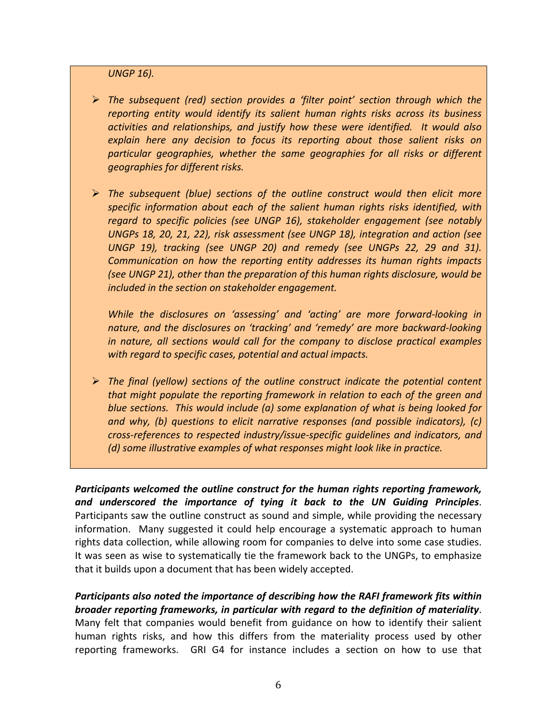**UNGP 16).** 

- **≻** The subsequent (red) section provides a 'filter point' section through which the reporting entity would *identify* its salient human rights risks across its business *activities and relationships, and justify how these were identified. It would also*  explain here any decision to focus its reporting about those salient risks on particular geographies, whether the same geographies for all risks or different *geographies for different risks.*
- **►** The subsequent (blue) sections of the outline construct would then elicit more specific information about each of the salient human rights risks identified, with regard to specific policies (see UNGP 16), stakeholder engagement (see notably UNGPs 18, 20, 21, 22), risk assessment (see UNGP 18), integration and action (see UNGP 19), tracking (see UNGP 20) and remedy (see UNGPs 22, 29 and 31). Communication on how the reporting entity addresses its human rights impacts *(see UNGP 21), other than the preparation of this human rights disclosure, would be included in the section on stakeholder engagement.*

While the disclosures on 'assessing' and 'acting' are more forward-looking in nature, and the disclosures on 'tracking' and 'remedy' are more backward-looking *in nature, all sections would call for the company to disclose practical examples* with regard to specific cases, potential and actual impacts.

**►** The final (yellow) sections of the outline construct indicate the potential content *that might populate the reporting framework in relation to each of the green and blue sections.* This would include (a) some explanation of what is being looked for *and* why, (b) questions to elicit narrative responses (and possible indicators), (c) *cross-references* to respected industry/issue-specific quidelines and indicators, and *(d)* some illustrative examples of what responses might look like in practice.

Participants welcomed the outline construct for the human rights reporting framework, and underscored the importance of tying it back to the UN Guiding Principles. Participants saw the outline construct as sound and simple, while providing the necessary information. Many suggested it could help encourage a systematic approach to human rights data collection, while allowing room for companies to delve into some case studies. It was seen as wise to systematically tie the framework back to the UNGPs, to emphasize that it builds upon a document that has been widely accepted.

Participants also noted the importance of describing how the RAFI framework fits within *broader reporting frameworks, in particular with regard to the definition of materiality.* Many felt that companies would benefit from guidance on how to identify their salient human rights risks, and how this differs from the materiality process used by other reporting frameworks. GRI G4 for instance includes a section on how to use that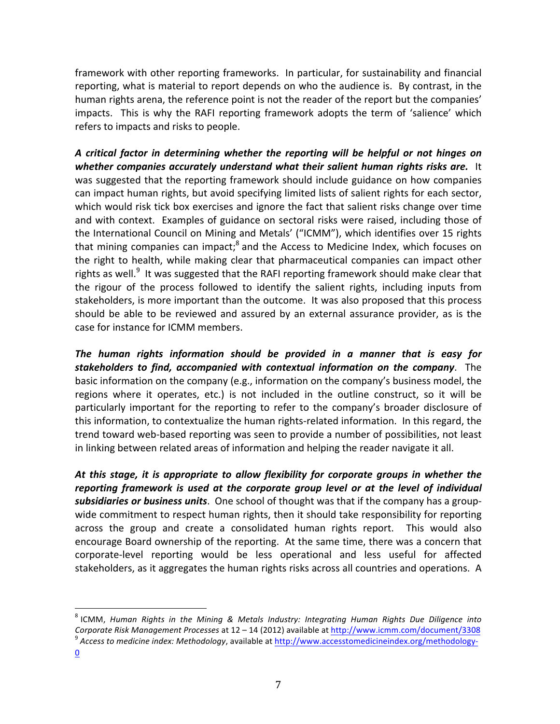framework with other reporting frameworks. In particular, for sustainability and financial reporting, what is material to report depends on who the audience is. By contrast, in the human rights arena, the reference point is not the reader of the report but the companies' impacts. This is why the RAFI reporting framework adopts the term of 'salience' which refers to impacts and risks to people.

*A critical factor in determining whether the reporting will be helpful or not hinges on*  whether companies accurately understand what their salient human rights risks are. It was suggested that the reporting framework should include guidance on how companies can impact human rights, but avoid specifying limited lists of salient rights for each sector, which would risk tick box exercises and ignore the fact that salient risks change over time and with context. Examples of guidance on sectoral risks were raised, including those of the International Council on Mining and Metals' ("ICMM"), which identifies over 15 rights that mining companies can impact; $<sup>8</sup>$  and the Access to Medicine Index, which focuses on</sup> the right to health, while making clear that pharmaceutical companies can impact other rights as well.<sup>9</sup> It was suggested that the RAFI reporting framework should make clear that the rigour of the process followed to identify the salient rights, including inputs from stakeholders, is more important than the outcome. It was also proposed that this process should be able to be reviewed and assured by an external assurance provider, as is the case for instance for ICMM members.

The human rights information should be provided in a manner that is easy for **stakeholders to find, accompanied with contextual information on the company**. The basic information on the company (e.g., information on the company's business model, the regions where it operates, etc.) is not included in the outline construct, so it will be particularly important for the reporting to refer to the company's broader disclosure of this information, to contextualize the human rights-related information. In this regard, the trend toward web-based reporting was seen to provide a number of possibilities, not least in linking between related areas of information and helping the reader navigate it all.

At this stage, it is appropriate to allow flexibility for corporate groups in whether the *reporting framework is used at the corporate group level or at the level of individual* **subsidiaries or business units**. One school of thought was that if the company has a groupwide commitment to respect human rights, then it should take responsibility for reporting across the group and create a consolidated human rights report. This would also encourage Board ownership of the reporting. At the same time, there was a concern that corporate-level reporting would be less operational and less useful for affected stakeholders, as it aggregates the human rights risks across all countries and operations. A

<sup>&</sup>lt;sup>8</sup> ICMM, *Human Rights in the Mining & Metals Industry: Integrating Human Rights Due Diligence into Corporate Risk Management Processes* at 12 – 14 (2012) available at http://www.icmm.com/document/3308 <sup>9</sup> *Access to medicine index: Methodology*, available at http://www.accesstomedicineindex.org/methodology-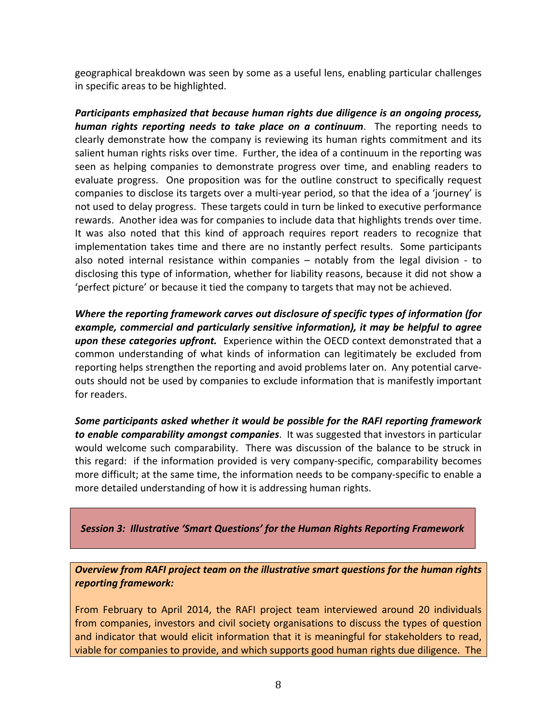geographical breakdown was seen by some as a useful lens, enabling particular challenges in specific areas to be highlighted.

Participants emphasized that because human rights due diligence is an ongoing process, *human rights reporting needs to take place on a continuum*. The reporting needs to clearly demonstrate how the company is reviewing its human rights commitment and its salient human rights risks over time. Further, the idea of a continuum in the reporting was seen as helping companies to demonstrate progress over time, and enabling readers to evaluate progress. One proposition was for the outline construct to specifically request companies to disclose its targets over a multi-year period, so that the idea of a 'journey' is not used to delay progress. These targets could in turn be linked to executive performance rewards. Another idea was for companies to include data that highlights trends over time. It was also noted that this kind of approach requires report readers to recognize that implementation takes time and there are no instantly perfect results. Some participants also noted internal resistance within companies  $-$  notably from the legal division - to disclosing this type of information, whether for liability reasons, because it did not show a 'perfect picture' or because it tied the company to targets that may not be achieved.

*Where the reporting framework carves out disclosure of specific types of information (for* example, commercial and particularly sensitive information), it may be helpful to agree **upon these categories upfront.** Experience within the OECD context demonstrated that a common understanding of what kinds of information can legitimately be excluded from reporting helps strengthen the reporting and avoid problems later on. Any potential carveouts should not be used by companies to exclude information that is manifestly important for readers.

Some participants asked whether it would be possible for the RAFI reporting framework **to enable comparability amongst companies**. It was suggested that investors in particular would welcome such comparability. There was discussion of the balance to be struck in this regard: if the information provided is very company-specific, comparability becomes more difficult; at the same time, the information needs to be company-specific to enable a more detailed understanding of how it is addressing human rights.

**Session 3: Illustrative 'Smart Questions' for the Human Rights Reporting Framework** 

**Overview from RAFI project team on the illustrative smart questions for the human rights** *reporting framework:*

From February to April 2014, the RAFI project team interviewed around 20 individuals from companies, investors and civil society organisations to discuss the types of question and indicator that would elicit information that it is meaningful for stakeholders to read, viable for companies to provide, and which supports good human rights due diligence. The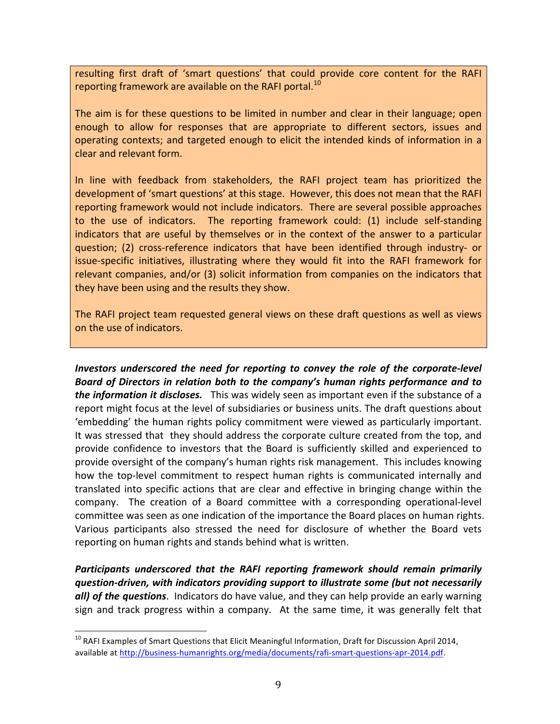resulting first draft of 'smart questions' that could provide core content for the RAFI reporting framework are available on the RAFI portal.<sup>10</sup>

The aim is for these questions to be limited in number and clear in their language; open enough to allow for responses that are appropriate to different sectors, issues and operating contexts; and targeted enough to elicit the intended kinds of information in a clear and relevant form.

In line with feedback from stakeholders, the RAFI project team has prioritized the development of 'smart questions' at this stage. However, this does not mean that the RAFI reporting framework would not include indicators. There are several possible approaches to the use of indicators. The reporting framework could: (1) include self-standing indicators that are useful by themselves or in the context of the answer to a particular question; (2) cross-reference indicators that have been identified through industry- or issue-specific initiatives, illustrating where they would fit into the RAFI framework for relevant companies, and/or  $(3)$  solicit information from companies on the indicators that they have been using and the results they show.

The RAFI project team requested general views on these draft questions as well as views on the use of indicators.

*Investors* underscored the need for reporting to convey the role of the corporate-level *Board* of Directors in relation both to the company's human rights performance and to **the information it discloses.** This was widely seen as important even if the substance of a report might focus at the level of subsidiaries or business units. The draft questions about 'embedding' the human rights policy commitment were viewed as particularly important. It was stressed that they should address the corporate culture created from the top, and provide confidence to investors that the Board is sufficiently skilled and experienced to provide oversight of the company's human rights risk management. This includes knowing how the top-level commitment to respect human rights is communicated internally and translated into specific actions that are clear and effective in bringing change within the company. The creation of a Board committee with a corresponding operational-level committee was seen as one indication of the importance the Board places on human rights. Various participants also stressed the need for disclosure of whether the Board vets reporting on human rights and stands behind what is written.

Participants underscored that the RAFI reporting framework should remain primarily question-driven, with indicators providing support to illustrate some (but not necessarily *all)* of the questions. Indicators do have value, and they can help provide an early warning sign and track progress within a company. At the same time, it was generally felt that

 $^{10}$  RAFI Examples of Smart Questions that Elicit Meaningful Information, Draft for Discussion April 2014, available at http://business-humanrights.org/media/documents/rafi-smart-questions-apr-2014.pdf.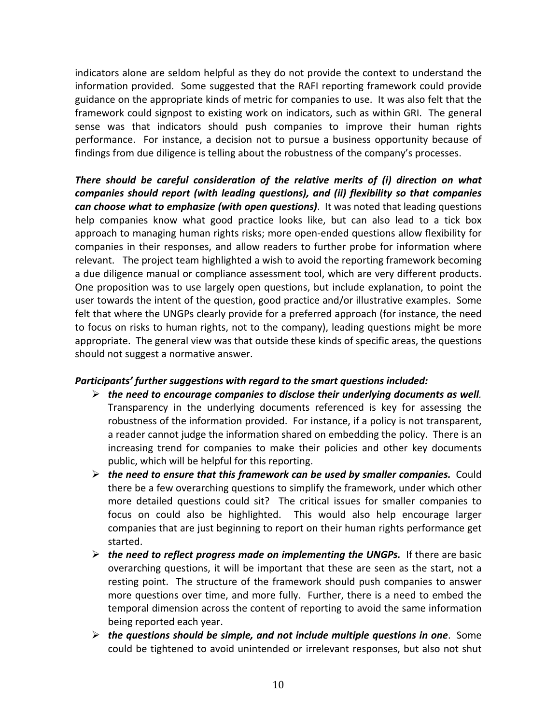indicators alone are seldom helpful as they do not provide the context to understand the information provided. Some suggested that the RAFI reporting framework could provide guidance on the appropriate kinds of metric for companies to use. It was also felt that the framework could signpost to existing work on indicators, such as within GRI. The general sense was that indicators should push companies to improve their human rights performance. For instance, a decision not to pursue a business opportunity because of findings from due diligence is telling about the robustness of the company's processes.

There should be careful consideration of the relative merits of (i) direction on what *companies should report (with leading questions), and (ii) flexibility so that companies can choose what to emphasize (with open questions)***.** It was noted that leading questions help companies know what good practice looks like, but can also lead to a tick box approach to managing human rights risks; more open-ended questions allow flexibility for companies in their responses, and allow readers to further probe for information where relevant. The project team highlighted a wish to avoid the reporting framework becoming a due diligence manual or compliance assessment tool, which are very different products. One proposition was to use largely open questions, but include explanation, to point the user towards the intent of the question, good practice and/or illustrative examples. Some felt that where the UNGPs clearly provide for a preferred approach (for instance, the need to focus on risks to human rights, not to the company), leading questions might be more appropriate. The general view was that outside these kinds of specific areas, the questions should not suggest a normative answer.

#### **Participants'** further suggestions with regard to the smart questions included:

- $\triangleright$  the need to encourage companies to disclose their underlying documents as well. Transparency in the underlying documents referenced is key for assessing the robustness of the information provided. For instance, if a policy is not transparent, a reader cannot judge the information shared on embedding the policy. There is an increasing trend for companies to make their policies and other key documents public, which will be helpful for this reporting.
- $\triangleright$  the need to ensure that this framework can be used by smaller companies. Could there be a few overarching questions to simplify the framework, under which other more detailed questions could sit? The critical issues for smaller companies to focus on could also be highlighted. This would also help encourage larger companies that are just beginning to report on their human rights performance get started.
- $\triangleright$  the need to reflect progress made on implementing the UNGPs. If there are basic overarching questions, it will be important that these are seen as the start, not a resting point. The structure of the framework should push companies to answer more questions over time, and more fully. Further, there is a need to embed the temporal dimension across the content of reporting to avoid the same information being reported each year.
- **≻** the questions should be simple, and not include multiple questions in one. Some could be tightened to avoid unintended or irrelevant responses, but also not shut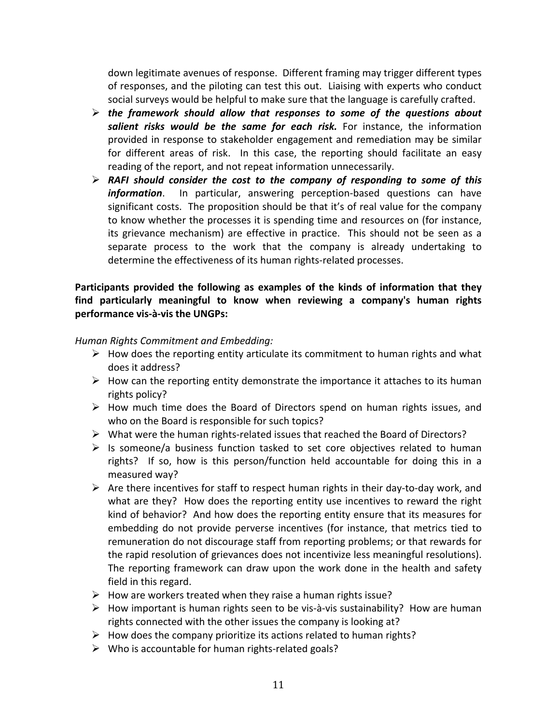down legitimate avenues of response. Different framing may trigger different types of responses, and the piloting can test this out. Liaising with experts who conduct social surveys would be helpful to make sure that the language is carefully crafted.

- $\triangleright$  the framework should allow that responses to some of the questions about salient risks would be the same for each risk. For instance, the information provided in response to stakeholder engagement and remediation may be similar for different areas of risk. In this case, the reporting should facilitate an easy reading of the report, and not repeat information unnecessarily.
- $\triangleright$  RAFI should consider the cost to the company of responding to some of this *information*. In particular, answering perception-based questions can have significant costs. The proposition should be that it's of real value for the company to know whether the processes it is spending time and resources on (for instance, its grievance mechanism) are effective in practice. This should not be seen as a separate process to the work that the company is already undertaking to determine the effectiveness of its human rights-related processes.

# Participants provided the following as examples of the kinds of information that they find particularly meaningful to know when reviewing a company's human rights **performance vis-à-vis the UNGPs:**

*Human Rights Commitment and Embedding:*

- $\triangleright$  How does the reporting entity articulate its commitment to human rights and what does it address?
- $\triangleright$  How can the reporting entity demonstrate the importance it attaches to its human rights policy?
- $\triangleright$  How much time does the Board of Directors spend on human rights issues, and who on the Board is responsible for such topics?
- $\triangleright$  What were the human rights-related issues that reached the Board of Directors?
- $\triangleright$  Is someone/a business function tasked to set core objectives related to human rights? If so, how is this person/function held accountable for doing this in a measured way?
- $\triangleright$  Are there incentives for staff to respect human rights in their day-to-day work, and what are they? How does the reporting entity use incentives to reward the right kind of behavior? And how does the reporting entity ensure that its measures for embedding do not provide perverse incentives (for instance, that metrics tied to remuneration do not discourage staff from reporting problems; or that rewards for the rapid resolution of grievances does not incentivize less meaningful resolutions). The reporting framework can draw upon the work done in the health and safety field in this regard.
- $\triangleright$  How are workers treated when they raise a human rights issue?
- $\triangleright$  How important is human rights seen to be vis-à-vis sustainability? How are human rights connected with the other issues the company is looking at?
- $\triangleright$  How does the company prioritize its actions related to human rights?
- $\triangleright$  Who is accountable for human rights-related goals?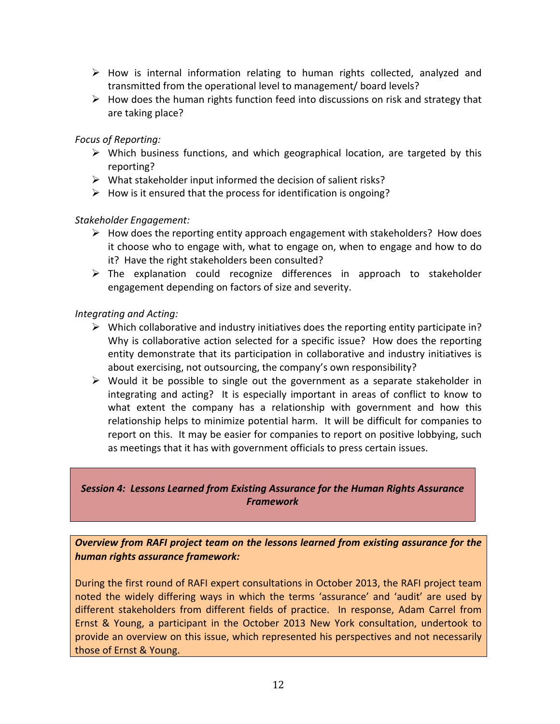- $\triangleright$  How is internal information relating to human rights collected, analyzed and transmitted from the operational level to management/ board levels?
- $\triangleright$  How does the human rights function feed into discussions on risk and strategy that are taking place?

## *Focus of Reporting:*

- $\triangleright$  Which business functions, and which geographical location, are targeted by this reporting?
- $\triangleright$  What stakeholder input informed the decision of salient risks?
- $\triangleright$  How is it ensured that the process for identification is ongoing?

### *Stakeholder Engagement:*

- $\triangleright$  How does the reporting entity approach engagement with stakeholders? How does it choose who to engage with, what to engage on, when to engage and how to do it? Have the right stakeholders been consulted?
- $\triangleright$  The explanation could recognize differences in approach to stakeholder engagement depending on factors of size and severity.

### *Integrating and Acting:*

- $\triangleright$  Which collaborative and industry initiatives does the reporting entity participate in? Why is collaborative action selected for a specific issue? How does the reporting entity demonstrate that its participation in collaborative and industry initiatives is about exercising, not outsourcing, the company's own responsibility?
- $\triangleright$  Would it be possible to single out the government as a separate stakeholder in integrating and acting? It is especially important in areas of conflict to know to what extent the company has a relationship with government and how this relationship helps to minimize potential harm. It will be difficult for companies to report on this. It may be easier for companies to report on positive lobbying, such as meetings that it has with government officials to press certain issues.

# **Session 4: Lessons Learned from Existing Assurance for the Human Rights Assurance** *Framework*

**Overview from RAFI project team on the lessons learned from existing assurance for the** *human rights assurance framework:*

During the first round of RAFI expert consultations in October 2013, the RAFI project team noted the widely differing ways in which the terms 'assurance' and 'audit' are used by different stakeholders from different fields of practice. In response, Adam Carrel from Ernst & Young, a participant in the October 2013 New York consultation, undertook to provide an overview on this issue, which represented his perspectives and not necessarily those of Ernst & Young.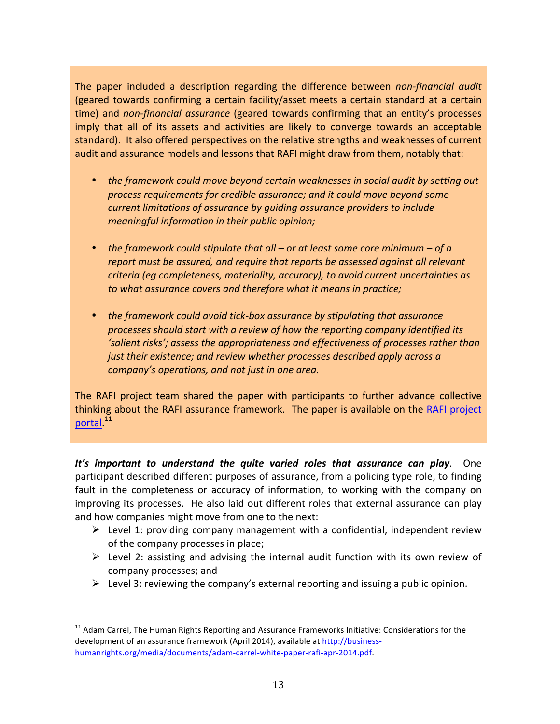The paper included a description regarding the difference between *non-financial audit* (geared towards confirming a certain facility/asset meets a certain standard at a certain time) and *non-financial assurance* (geared towards confirming that an entity's processes imply that all of its assets and activities are likely to converge towards an acceptable standard). It also offered perspectives on the relative strengths and weaknesses of current audit and assurance models and lessons that RAFI might draw from them, notably that:

- the framework could move beyond certain weaknesses in social audit by setting out *process requirements for credible assurance; and it could move beyond some current limitations of assurance by guiding assurance providers to include meaningful information in their public opinion;*
- *the framework could stipulate that all or at least some core minimum of a report must be assured, and require that reports be assessed against all relevant criteria* (eg completeness, materiality, accuracy), to avoid current uncertainties as to what assurance covers and therefore what it means in practice;
- the framework could avoid tick-box assurance by stipulating that assurance processes should start with a review of how the reporting company identified its 'salient risks'; assess the appropriateness and effectiveness of processes rather than *just their existence; and review whether processes described apply across a company's* operations, and not just in one area.

The RAFI project team shared the paper with participants to further advance collective thinking about the RAFI assurance framework. The paper is available on the RAFI project portal.<sup>11</sup>

It's important to understand the quite varied roles that assurance can play. One participant described different purposes of assurance, from a policing type role, to finding fault in the completeness or accuracy of information, to working with the company on improving its processes. He also laid out different roles that external assurance can play and how companies might move from one to the next:

- $\triangleright$  Level 1: providing company management with a confidential, independent review of the company processes in place;
- $\triangleright$  Level 2: assisting and advising the internal audit function with its own review of company processes; and
- Eevel 3: reviewing the company's external reporting and issuing a public opinion.

 $11$  Adam Carrel, The Human Rights Reporting and Assurance Frameworks Initiative: Considerations for the development of an assurance framework (April 2014), available at http://businesshumanrights.org/media/documents/adam-carrel-white-paper-rafi-apr-2014.pdf.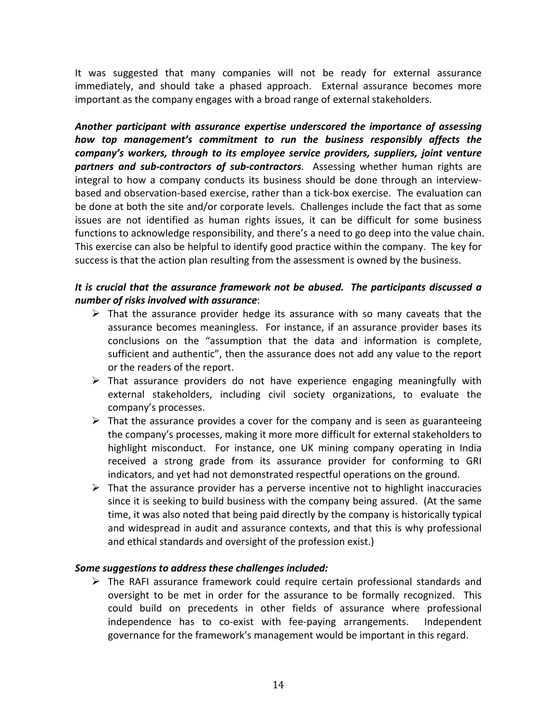It was suggested that many companies will not be ready for external assurance immediately, and should take a phased approach. External assurance becomes more important as the company engages with a broad range of external stakeholders.

Another participant with assurance expertise underscored the *importance* of assessing *how* top management's commitment to run the business responsibly affects the *company's* workers, through to its employee service providers, suppliers, joint venture **partners and sub-contractors of sub-contractors**. Assessing whether human rights are integral to how a company conducts its business should be done through an interviewbased and observation-based exercise, rather than a tick-box exercise. The evaluation can be done at both the site and/or corporate levels. Challenges include the fact that as some issues are not identified as human rights issues, it can be difficult for some business functions to acknowledge responsibility, and there's a need to go deep into the value chain. This exercise can also be helpful to identify good practice within the company. The key for success is that the action plan resulting from the assessment is owned by the business.

## It is crucial that the assurance framework not be abused. The participants discussed a *number of risks involved with assurance*:

- $\triangleright$  That the assurance provider hedge its assurance with so many caveats that the assurance becomes meaningless. For instance, if an assurance provider bases its conclusions on the "assumption that the data and information is complete, sufficient and authentic", then the assurance does not add any value to the report or the readers of the report.
- $\triangleright$  That assurance providers do not have experience engaging meaningfully with external stakeholders, including civil society organizations, to evaluate the company's processes.
- $\triangleright$  That the assurance provides a cover for the company and is seen as guaranteeing the company's processes, making it more more difficult for external stakeholders to highlight misconduct. For instance, one UK mining company operating in India received a strong grade from its assurance provider for conforming to GRI indicators, and yet had not demonstrated respectful operations on the ground.
- $\triangleright$  That the assurance provider has a perverse incentive not to highlight inaccuracies since it is seeking to build business with the company being assured. (At the same time, it was also noted that being paid directly by the company is historically typical and widespread in audit and assurance contexts, and that this is why professional and ethical standards and oversight of the profession exist.)

#### Some suggestions to address these challenges included:

 $\triangleright$  The RAFI assurance framework could require certain professional standards and oversight to be met in order for the assurance to be formally recognized. This could build on precedents in other fields of assurance where professional independence has to co-exist with fee-paying arrangements. Independent governance for the framework's management would be important in this regard.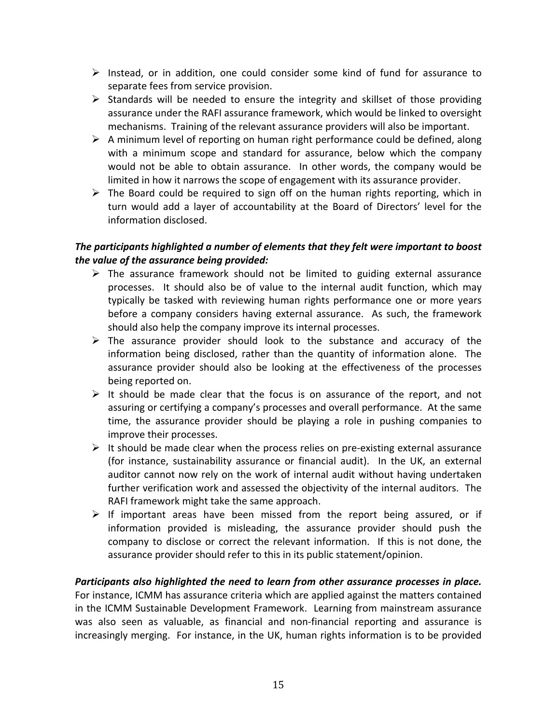- $\triangleright$  Instead, or in addition, one could consider some kind of fund for assurance to separate fees from service provision.
- $\triangleright$  Standards will be needed to ensure the integrity and skillset of those providing assurance under the RAFI assurance framework, which would be linked to oversight mechanisms. Training of the relevant assurance providers will also be important.
- $\triangleright$  A minimum level of reporting on human right performance could be defined, along with a minimum scope and standard for assurance, below which the company would not be able to obtain assurance. In other words, the company would be limited in how it narrows the scope of engagement with its assurance provider.
- $\triangleright$  The Board could be required to sign off on the human rights reporting, which in turn would add a layer of accountability at the Board of Directors' level for the information disclosed.

# The participants highlighted a number of elements that they felt were important to boost *the value of the assurance being provided:*

- $\triangleright$  The assurance framework should not be limited to guiding external assurance processes. It should also be of value to the internal audit function, which may typically be tasked with reviewing human rights performance one or more years before a company considers having external assurance. As such, the framework should also help the company improve its internal processes.
- $\triangleright$  The assurance provider should look to the substance and accuracy of the information being disclosed, rather than the quantity of information alone. The assurance provider should also be looking at the effectiveness of the processes being reported on.
- $\triangleright$  It should be made clear that the focus is on assurance of the report, and not assuring or certifying a company's processes and overall performance. At the same time, the assurance provider should be playing a role in pushing companies to improve their processes.
- $\triangleright$  It should be made clear when the process relies on pre-existing external assurance (for instance, sustainability assurance or financial audit). In the UK, an external auditor cannot now rely on the work of internal audit without having undertaken further verification work and assessed the objectivity of the internal auditors. The RAFI framework might take the same approach.
- $\triangleright$  If important areas have been missed from the report being assured, or if information provided is misleading, the assurance provider should push the company to disclose or correct the relevant information. If this is not done, the assurance provider should refer to this in its public statement/opinion.

# Participants also highlighted the need to learn from other assurance processes in place.

For instance, ICMM has assurance criteria which are applied against the matters contained in the ICMM Sustainable Development Framework. Learning from mainstream assurance was also seen as valuable, as financial and non-financial reporting and assurance is increasingly merging. For instance, in the UK, human rights information is to be provided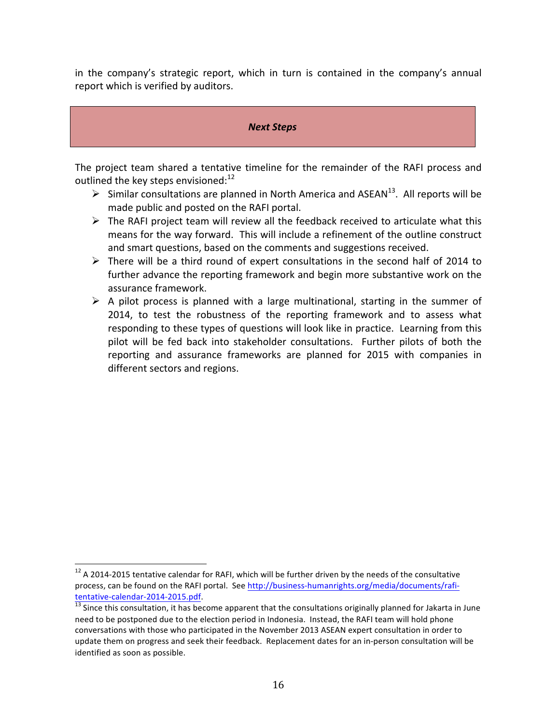in the company's strategic report, which in turn is contained in the company's annual report which is verified by auditors.

#### *Next Steps*

The project team shared a tentative timeline for the remainder of the RAFI process and outlined the key steps envisioned: $^{12}$ 

- $\triangleright$  Similar consultations are planned in North America and ASEAN<sup>13</sup>. All reports will be made public and posted on the RAFI portal.
- $\triangleright$  The RAFI project team will review all the feedback received to articulate what this means for the way forward. This will include a refinement of the outline construct and smart questions, based on the comments and suggestions received.
- $\triangleright$  There will be a third round of expert consultations in the second half of 2014 to further advance the reporting framework and begin more substantive work on the assurance framework.
- $\triangleright$  A pilot process is planned with a large multinational, starting in the summer of 2014, to test the robustness of the reporting framework and to assess what responding to these types of questions will look like in practice. Learning from this pilot will be fed back into stakeholder consultations. Further pilots of both the reporting and assurance frameworks are planned for 2015 with companies in different sectors and regions.

 $12$  A 2014-2015 tentative calendar for RAFI, which will be further driven by the needs of the consultative process, can be found on the RAFI portal. See http://business-humanrights.org/media/documents/rafitentative-calendar-2014-2015.pdf.<br> $\frac{13}{13}$  Since this consultation, it has become apparent that the consultations originally planned for Jakarta in June

need to be postponed due to the election period in Indonesia. Instead, the RAFI team will hold phone conversations with those who participated in the November 2013 ASEAN expert consultation in order to update them on progress and seek their feedback. Replacement dates for an in-person consultation will be identified as soon as possible.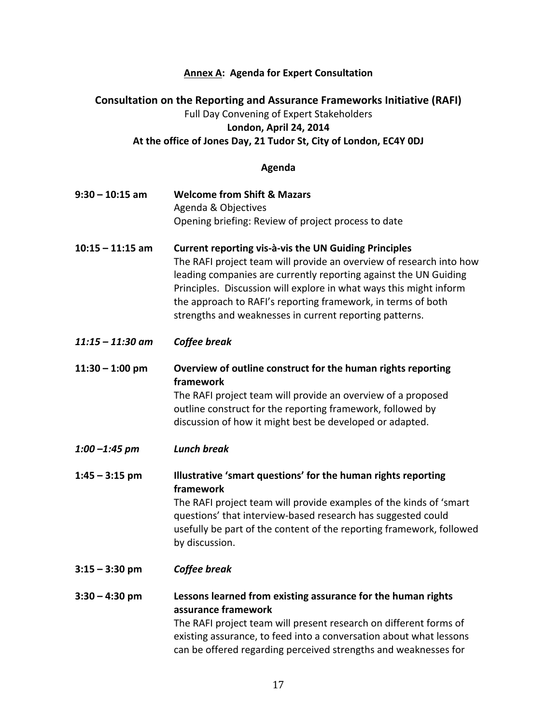#### **Annex A: Agenda for Expert Consultation**

# **Consultation on the Reporting and Assurance Frameworks Initiative (RAFI)** Full Day Convening of Expert Stakeholders **London, April 24, 2014** At the office of Jones Day, 21 Tudor St, City of London, EC4Y 0DJ

#### **Agenda**

- **9:30 – 10:15 am Welcome from Shift & Mazars** Agenda & Objectives Opening briefing: Review of project process to date
- **10:15 – 11:15 am Current reporting vis-à-vis the UN Guiding Principles** The RAFI project team will provide an overview of research into how leading companies are currently reporting against the UN Guiding Principles. Discussion will explore in what ways this might inform the approach to RAFI's reporting framework, in terms of both strengths and weaknesses in current reporting patterns.
- *11:15 – 11:30 am Coffee break*

**11:30** – 1:00 pm Overview of outline construct for the human rights reporting **framework**

The RAFI project team will provide an overview of a proposed outline construct for the reporting framework, followed by discussion of how it might best be developed or adapted.

*1:00 –1:45 pm Lunch break*

**1:45** – 3:15 pm **Illustrative 'smart questions' for the human rights reporting framework** The RAFI project team will provide examples of the kinds of 'smart

questions' that interview-based research has suggested could usefully be part of the content of the reporting framework, followed by discussion.

**3:15 – 3:30 pm**  *Coffee break*

# **3:30 – 4:30 pm Lessons learned from existing assurance for the human rights assurance framework**

The RAFI project team will present research on different forms of existing assurance, to feed into a conversation about what lessons can be offered regarding perceived strengths and weaknesses for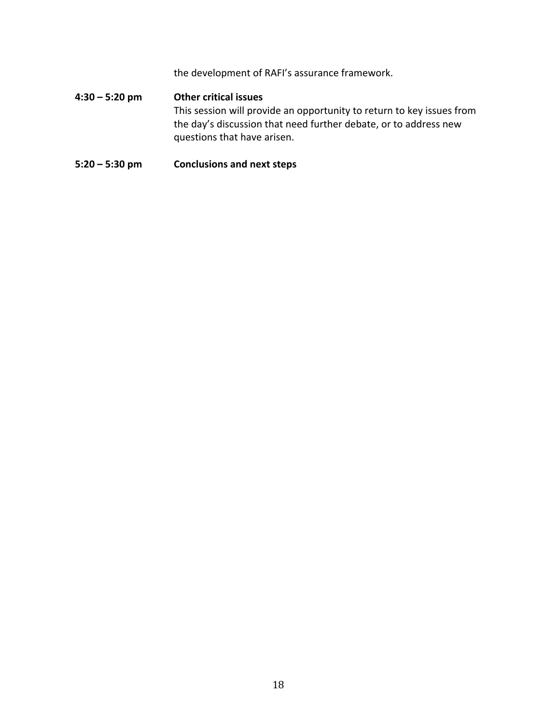the development of RAFI's assurance framework.

# **4:30 – 5:20 pm Other critical issues** This session will provide an opportunity to return to key issues from the day's discussion that need further debate, or to address new questions that have arisen.

### **5:20** – **5:30** pm **Conclusions** and next steps